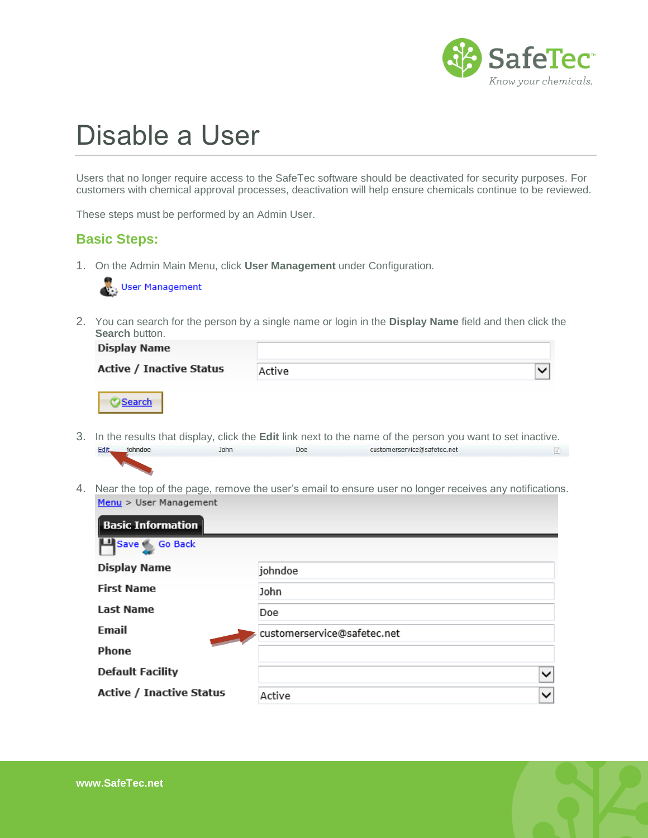

## Disable a User

Users that no longer require access to the SafeTec software should be deactivated for security purposes. For customers with chemical approval processes, deactivation will help ensure chemicals continue to be reviewed.

These steps must be performed by an Admin User.

## **Basic Steps:**

1. On the Admin Main Menu, click **User Management** under Configuration.



2. You can search for the person by a single name or login in the **Display Name** field and then click the **Search button.** 

| <b>Display Name</b>             |        |  |
|---------------------------------|--------|--|
| <b>Active / Inactive Status</b> | Active |  |
|                                 |        |  |

- 3. In the results that display, click the **Edit** link next to the name of the person you want to set inactive. Edit johndoe John customerservice@safetec.net Doe  $\sqrt{2}$
- 4. Near the top of the page, remove the user's email to ensure user no longer receives any notifications. Menu > User Management

| <b>Basic Information</b>        |                             |
|---------------------------------|-----------------------------|
| LL Save Go Back                 |                             |
| <b>Display Name</b>             | johndoe                     |
| <b>First Name</b>               | John                        |
| <b>Last Name</b>                | Doe                         |
| Email                           | customerservice@safetec.net |
| Phone                           |                             |
| <b>Default Facility</b>         | $\checkmark$                |
| <b>Active / Inactive Status</b> | $\checkmark$<br>Active      |